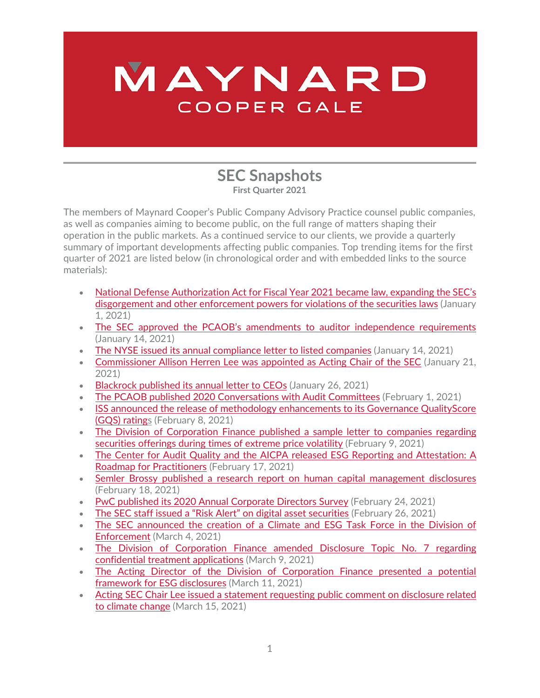## MAYNARD COOPER GALE

## **SEC Snapshots First Quarter 2021**

The members of Maynard Cooper's Public Company Advisory Practice counsel public companies, as well as companies aiming to become public, on the full range of matters shaping their operation in the public markets. As a continued service to our clients, we provide a quarterly summary of important developments affecting public companies. Top trending items for the first quarter of 2021 are listed below (in chronological order and with embedded links to the source materials):

- [National Defense Authorization Act for Fiscal Year 2021](https://www.congress.gov/116/bills/hr6395/BILLS-116hr6395enr.pdf) became law, expanding the SEC's [disgorgement and other enforcement powers](https://www.congress.gov/116/bills/hr6395/BILLS-116hr6395enr.pdf) for violations of the securities laws (January 1, 2021)
- The SEC approved the PCAOB's [amendments to auditor independence requirements](https://www.sec.gov/rules/pcaob/2021/34-90930.pdf) (January 14, 2021)
- [The NYSE issued its annual compliance letter to listed companies](https://www.nyse.com/publicdocs/nyse/regulation/nyse/NYSE_2021_Annual_Guidance_Letter.pdf) (January 14, 2021)
- [Commissioner Allison Herren Lee was appointed as Acting Chair of the SEC](https://www.sec.gov/news/press-release/2021-13) (January 21, 2021)
- [Blackrock published its annual letter to CEOs](https://www.blackrock.com/corporate/investor-relations/larry-fink-ceo-letter) (January 26, 2021)
- [The PCAOB published 2020 Conversations with Audit Committees](https://pcaob-assets.azureedge.net/pcaob-dev/docs/default-source/documents/2020-conversations-with-audit-committee-chairs.pdf?sfvrsn=abd15ca4_6) (February 1, 2021)
- ISS announced the release of methodology enhancements to its Governance QualityScore [\(GQS\) ratings](https://insights.issgovernance.com/posts/iss-esg-unveils-2021-methodology-enhancements-for-governance-qualityscore/) (February 8, 2021)
- The Division of Corporation Finance published a sample letter to companies regarding [securities offerings during times of extreme price volatility](https://www.sec.gov/corpfin/sample-letter-securities-offerings-during-extreme-price-volatility) (February 9, 2021)
- [The Center for Audit Quality and the AICPA](https://www.aicpa.org/content/dam/aicpa/interestareas/businessindustryandgovernment/resources/sustainability/downloadabledocuments/caq-esg-reporting-and-attestation-roadmap-2021-Feb-v2.pdf) released ESG Reporting and Attestation: A [Roadmap for Practitioners](https://www.aicpa.org/content/dam/aicpa/interestareas/businessindustryandgovernment/resources/sustainability/downloadabledocuments/caq-esg-reporting-and-attestation-roadmap-2021-Feb-v2.pdf) (February 17, 2021)
- [Semler Brossy published a research report on human capital management disclosures](https://www.semlerbrossy.com/wp-content/uploads/SemlerBrossy_Proxy-Statement-HCM-Disclosure-Report-1.pdf) (February 18, 2021)
- [PwC published its 2020 Annual Corporate Directors Survey](https://www.pwc.com/us/en/services/governance-insights-center/library/annual-corporate-directors-survey.html) (February 24, 2021)
- [The SEC staff issued a "Risk Alert" on digital asset securities](https://www.sec.gov/files/digital-assets-risk-alert.pdf) (February 26, 2021)
- [The SEC announced the creation of a Climate and ESG Task Force in the Division of](https://www.sec.gov/news/press-release/2021-42)  [Enforcement](https://www.sec.gov/news/press-release/2021-42) (March 4, 2021)
- The Division of Corporation Finance amended Disclosure Topic No. 7 regarding [confidential treatment applications](https://www.sec.gov/corpfin/confidential-treatment-applications) (March 9, 2021)
- [The Acting Director of the Division of Corporation Finance presented a potential](https://www.sec.gov/news/public-statement/coates-esg-disclosure-keeping-pace-031121)  [framework for ESG](https://www.sec.gov/news/public-statement/coates-esg-disclosure-keeping-pace-031121) disclosures (March 11, 2021)
- [Acting SEC Chair Lee issued a statement requesting public comment on disclosure related](https://www.sec.gov/news/public-statement/lee-climate-change-disclosures)  [to climate change](https://www.sec.gov/news/public-statement/lee-climate-change-disclosures) (March 15, 2021)